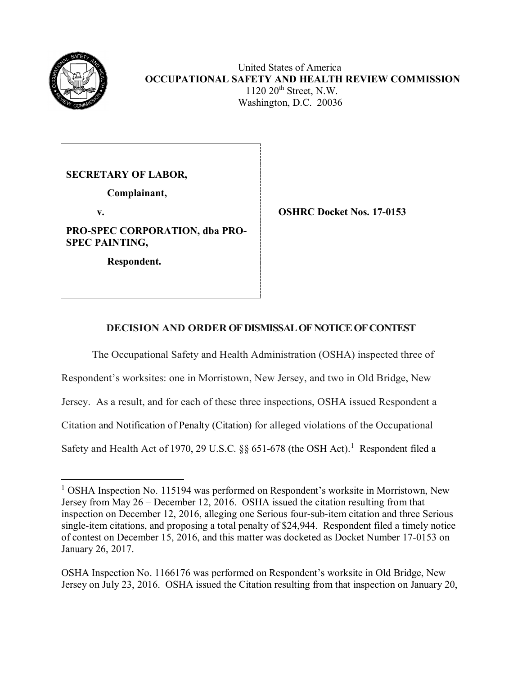

 United States of America **OCCUPATIONAL SAFETY AND HEALTH REVIEW COMMISSION** 1120 20th Street, N.W. Washington, D.C. 20036

**SECRETARY OF LABOR,**

 **Complainant,** 

**PRO-SPEC CORPORATION, dba PRO-SPEC PAINTING,** 

 **Respondent.**

 **v. OSHRC Docket Nos. 17-0153** 

# **DECISION AND ORDER OF DISMISSAL OFNOTICE OF CONTEST**

The Occupational Safety and Health Administration (OSHA) inspected three of

Respondent's worksites: one in Morristown, New Jersey, and two in Old Bridge, New

Jersey. As a result, and for each of these three inspections, OSHA issued Respondent a

Citation and Notification of Penalty (Citation) for alleged violations of the Occupational

Safety and Health Act of [1](#page-0-0)970, 29 U.S.C. §§ 651-678 (the OSH Act).<sup>1</sup> Respondent filed a

OSHA Inspection No. 1166176 was performed on Respondent's worksite in Old Bridge, New Jersey on July 23, 2016. OSHA issued the Citation resulting from that inspection on January 20,

<span id="page-0-0"></span> $\overline{a}$ <sup>1</sup> OSHA Inspection No. 115194 was performed on Respondent's worksite in Morristown, New Jersey from May 26 – December 12, 2016. OSHA issued the citation resulting from that inspection on December 12, 2016, alleging one Serious four-sub-item citation and three Serious single-item citations, and proposing a total penalty of \$24,944. Respondent filed a timely notice of contest on December 15, 2016, and this matter was docketed as Docket Number 17-0153 on January 26, 2017.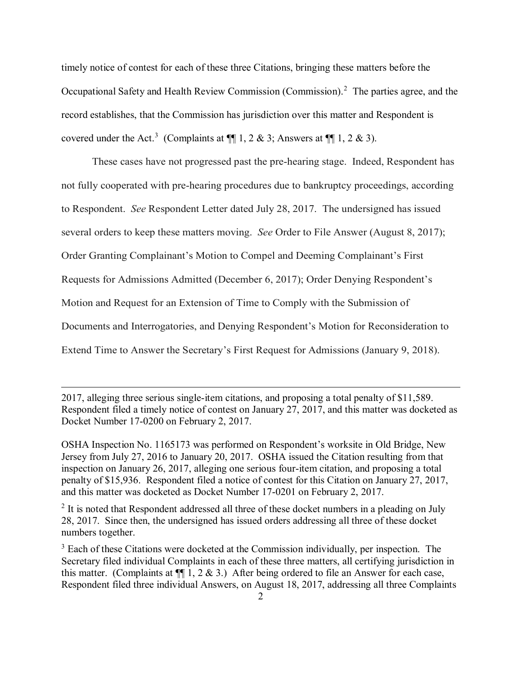timely notice of contest for each of these three Citations, bringing these matters before the Occupational Safety and Health Review Commission (Commission).<sup>[2](#page-1-0)</sup> The parties agree, and the record establishes, that the Commission has jurisdiction over this matter and Respondent is covered under the Act.<sup>[3](#page-1-1)</sup> (Complaints at  $\P$  1, 2 & 3; Answers at  $\P$  1, 2 & 3).

These cases have not progressed past the pre-hearing stage. Indeed, Respondent has not fully cooperated with pre-hearing procedures due to bankruptcy proceedings, according to Respondent. *See* Respondent Letter dated July 28, 2017. The undersigned has issued several orders to keep these matters moving. *See* Order to File Answer (August 8, 2017); Order Granting Complainant's Motion to Compel and Deeming Complainant's First Requests for Admissions Admitted (December 6, 2017); Order Denying Respondent's Motion and Request for an Extension of Time to Comply with the Submission of Documents and Interrogatories, and Denying Respondent's Motion for Reconsideration to Extend Time to Answer the Secretary's First Request for Admissions (January 9, 2018).

2017, alleging three serious single-item citations, and proposing a total penalty of \$11,589. Respondent filed a timely notice of contest on January 27, 2017, and this matter was docketed as Docket Number 17-0200 on February 2, 2017.

 $\overline{a}$ 

OSHA Inspection No. 1165173 was performed on Respondent's worksite in Old Bridge, New Jersey from July 27, 2016 to January 20, 2017. OSHA issued the Citation resulting from that inspection on January 26, 2017, alleging one serious four-item citation, and proposing a total penalty of \$15,936. Respondent filed a notice of contest for this Citation on January 27, 2017, and this matter was docketed as Docket Number 17-0201 on February 2, 2017.

<span id="page-1-0"></span> $2$  It is noted that Respondent addressed all three of these docket numbers in a pleading on July 28, 2017. Since then, the undersigned has issued orders addressing all three of these docket numbers together.

<span id="page-1-1"></span> $3$  Each of these Citations were docketed at the Commission individually, per inspection. The Secretary filed individual Complaints in each of these three matters, all certifying jurisdiction in this matter. (Complaints at  $\P$  1, 2 & 3.) After being ordered to file an Answer for each case, Respondent filed three individual Answers, on August 18, 2017, addressing all three Complaints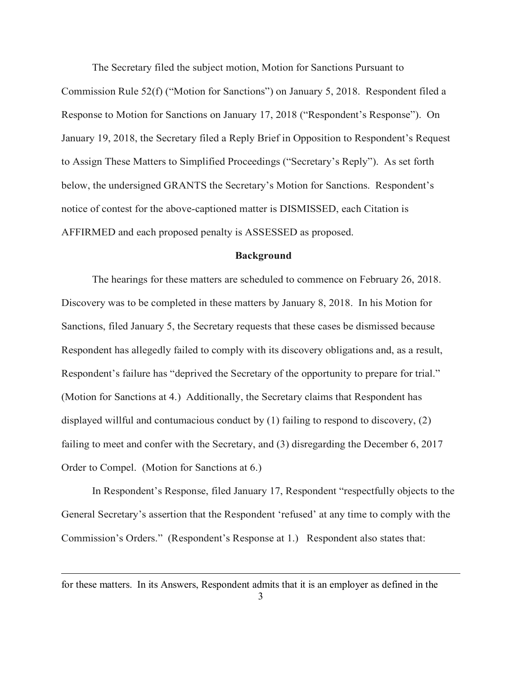The Secretary filed the subject motion, Motion for Sanctions Pursuant to

Commission Rule 52(f) ("Motion for Sanctions") on January 5, 2018. Respondent filed a Response to Motion for Sanctions on January 17, 2018 ("Respondent's Response"). On January 19, 2018, the Secretary filed a Reply Brief in Opposition to Respondent's Request to Assign These Matters to Simplified Proceedings ("Secretary's Reply"). As set forth below, the undersigned GRANTS the Secretary's Motion for Sanctions. Respondent's notice of contest for the above-captioned matter is DISMISSED, each Citation is AFFIRMED and each proposed penalty is ASSESSED as proposed.

#### **Background**

The hearings for these matters are scheduled to commence on February 26, 2018. Discovery was to be completed in these matters by January 8, 2018. In his Motion for Sanctions, filed January 5, the Secretary requests that these cases be dismissed because Respondent has allegedly failed to comply with its discovery obligations and, as a result, Respondent's failure has "deprived the Secretary of the opportunity to prepare for trial." (Motion for Sanctions at 4.) Additionally, the Secretary claims that Respondent has displayed willful and contumacious conduct by (1) failing to respond to discovery, (2) failing to meet and confer with the Secretary, and (3) disregarding the December 6, 2017 Order to Compel. (Motion for Sanctions at 6.)

In Respondent's Response, filed January 17, Respondent "respectfully objects to the General Secretary's assertion that the Respondent 'refused' at any time to comply with the Commission's Orders." (Respondent's Response at 1.) Respondent also states that:

for these matters. In its Answers, Respondent admits that it is an employer as defined in the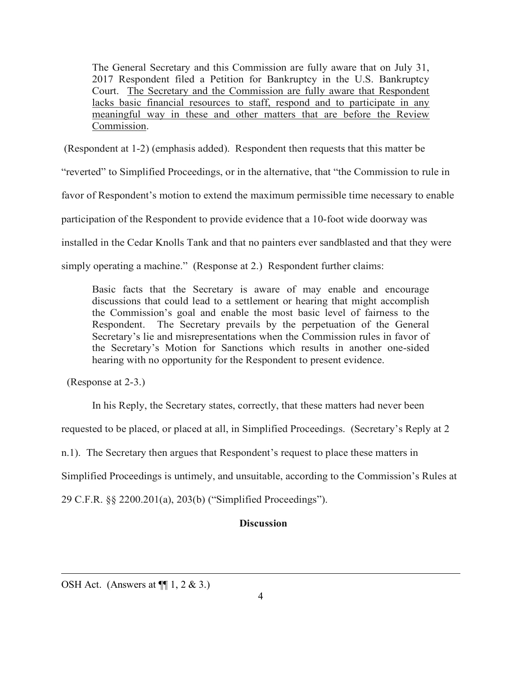The General Secretary and this Commission are fully aware that on July 31, 2017 Respondent filed a Petition for Bankruptcy in the U.S. Bankruptcy Court. The Secretary and the Commission are fully aware that Respondent lacks basic financial resources to staff, respond and to participate in any meaningful way in these and other matters that are before the Review Commission.

(Respondent at 1-2) (emphasis added). Respondent then requests that this matter be

"reverted" to Simplified Proceedings, or in the alternative, that "the Commission to rule in

favor of Respondent's motion to extend the maximum permissible time necessary to enable

participation of the Respondent to provide evidence that a 10-foot wide doorway was

installed in the Cedar Knolls Tank and that no painters ever sandblasted and that they were

simply operating a machine." (Response at 2.) Respondent further claims:

Basic facts that the Secretary is aware of may enable and encourage discussions that could lead to a settlement or hearing that might accomplish the Commission's goal and enable the most basic level of fairness to the Respondent. The Secretary prevails by the perpetuation of the General Secretary's lie and misrepresentations when the Commission rules in favor of the Secretary's Motion for Sanctions which results in another one-sided hearing with no opportunity for the Respondent to present evidence.

(Response at 2-3.)

In his Reply, the Secretary states, correctly, that these matters had never been

requested to be placed, or placed at all, in Simplified Proceedings. (Secretary's Reply at 2

n.1). The Secretary then argues that Respondent's request to place these matters in

Simplified Proceedings is untimely, and unsuitable, according to the Commission's Rules at

29 C.F.R. §§ 2200.201(a), 203(b) ("Simplified Proceedings").

## **Discussion**

OSH Act. (Answers at  $\P$ [1, 2 & 3.)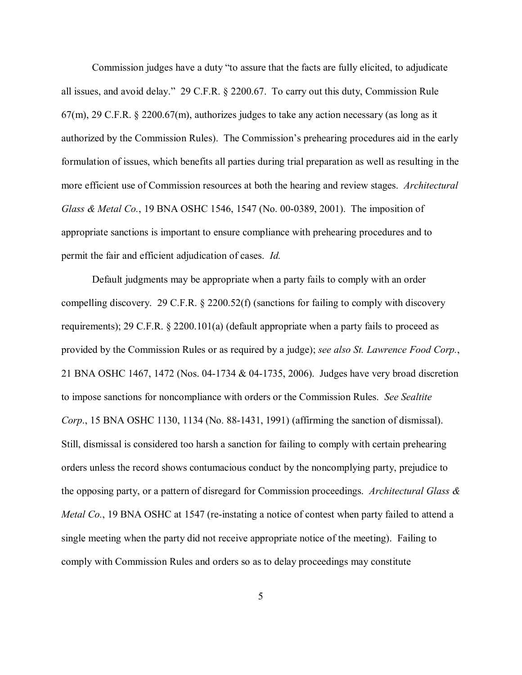Commission judges have a duty "to assure that the facts are fully elicited, to adjudicate all issues, and avoid delay." 29 C.F.R. § 2200.67. To carry out this duty, Commission Rule  $67(m)$ , 29 C.F.R. § 2200.67(m), authorizes judges to take any action necessary (as long as it authorized by the Commission Rules). The Commission's prehearing procedures aid in the early formulation of issues, which benefits all parties during trial preparation as well as resulting in the more efficient use of Commission resources at both the hearing and review stages. *Architectural Glass & Metal Co.*, 19 BNA OSHC 1546, 1547 (No. 00-0389, 2001). The imposition of appropriate sanctions is important to ensure compliance with prehearing procedures and to permit the fair and efficient adjudication of cases. *Id.*

Default judgments may be appropriate when a party fails to comply with an order compelling discovery. 29 C.F.R. § 2200.52(f) (sanctions for failing to comply with discovery requirements); 29 C.F.R. § 2200.101(a) (default appropriate when a party fails to proceed as provided by the Commission Rules or as required by a judge); *see also St. Lawrence Food Corp.*, 21 BNA OSHC 1467, 1472 (Nos. 04-1734 & 04-1735, 2006). Judges have very broad discretion to impose sanctions for noncompliance with orders or the Commission Rules. *See Sealtite Corp*., 15 BNA OSHC 1130, 1134 (No. 88-1431, 1991) (affirming the sanction of dismissal). Still, dismissal is considered too harsh a sanction for failing to comply with certain prehearing orders unless the record shows contumacious conduct by the noncomplying party, prejudice to the opposing party, or a pattern of disregard for Commission proceedings. *Architectural Glass & Metal Co.*, 19 BNA OSHC at 1547 (re-instating a notice of contest when party failed to attend a single meeting when the party did not receive appropriate notice of the meeting). Failing to comply with Commission Rules and orders so as to delay proceedings may constitute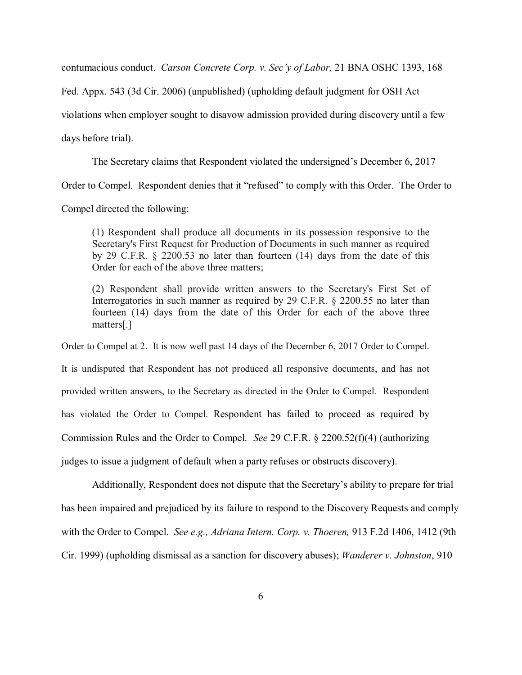contumacious conduct. *Carson Concrete Corp. v. Sec'y of Labor,* 21 BNA OSHC 1393, 168

Fed. Appx. 543 (3d Cir. 2006) (unpublished) (upholding default judgment for OSH Act

violations when employer sought to disavow admission provided during discovery until a few

days before trial).

The Secretary claims that Respondent violated the undersigned's December 6, 2017

Order to Compel. Respondent denies that it "refused" to comply with this Order. The Order to

Compel directed the following:

(1) Respondent shall produce all documents in its possession responsive to the Secretary's First Request for Production of Documents in such manner as required by 29 C.F.R. § 2200.53 no later than fourteen (14) days from the date of this Order for each of the above three matters;

(2) Respondent shall provide written answers to the Secretary's First Set of Interrogatories in such manner as required by 29 C.F.R. § 2200.55 no later than fourteen (14) days from the date of this Order for each of the above three matters[.]

Order to Compel at 2. It is now well past 14 days of the December 6, 2017 Order to Compel. It is undisputed that Respondent has not produced all responsive documents, and has not provided written answers, to the Secretary as directed in the Order to Compel. Respondent has violated the Order to Compel. Respondent has failed to proceed as required by Commission Rules and the Order to Compel. *See* 29 C.F.R. § 2200.52(f)(4) (authorizing judges to issue a judgment of default when a party refuses or obstructs discovery).

Additionally, Respondent does not dispute that the Secretary's ability to prepare for trial has been impaired and prejudiced by its failure to respond to the Discovery Requests and comply with the Order to Compel. *See e.g., Adriana Intern. Corp. v. Thoeren,* 913 F.2d 1406, 1412 (9th Cir. 1999) (upholding dismissal as a sanction for discovery abuses); *Wanderer v. Johnston*, 910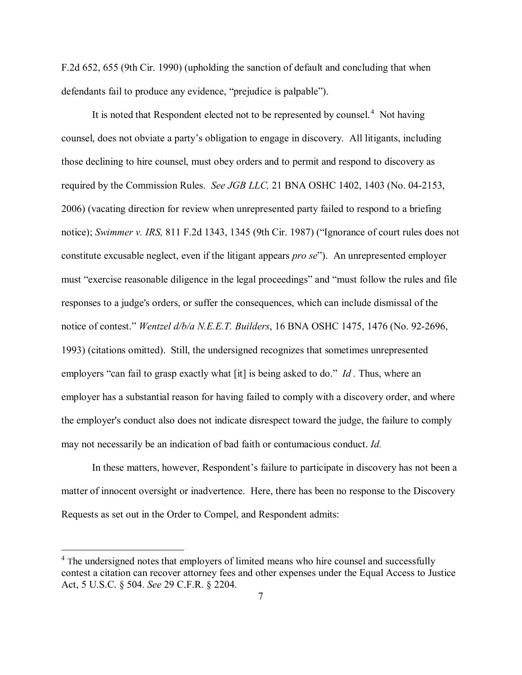F.2d 652, 655 (9th Cir. 1990) (upholding the sanction of default and concluding that when defendants fail to produce any evidence, "prejudice is palpable").

It is noted that Respondent elected not to be represented by counsel.<sup>[4](#page-6-0)</sup> Not having counsel, does not obviate a party's obligation to engage in discovery. All litigants, including those declining to hire counsel, must obey orders and to permit and respond to discovery as required by the Commission Rules. *See JGB LLC,* 21 BNA OSHC 1402, 1403 (No. 04-2153, 2006) (vacating direction for review when unrepresented party failed to respond to a briefing notice); *Swimmer v. IRS,* 811 F.2d 1343, 1345 (9th Cir. 1987) ("Ignorance of court rules does not constitute excusable neglect, even if the litigant appears *pro se*"). An unrepresented employer must "exercise reasonable diligence in the legal proceedings" and "must follow the rules and file responses to a judge's orders, or suffer the consequences, which can include dismissal of the notice of contest." *Wentzel d/b/a N.E.E.T. Builders*, 16 BNA OSHC 1475, 1476 (No. 92-2696, 1993) (citations omitted). Still, the undersigned recognizes that sometimes unrepresented employers "can fail to grasp exactly what [it] is being asked to do." *Id .* Thus, where an employer has a substantial reason for having failed to comply with a discovery order, and where the employer's conduct also does not indicate disrespect toward the judge, the failure to comply may not necessarily be an indication of bad faith or contumacious conduct. *Id.*

In these matters, however, Respondent's failure to participate in discovery has not been a matter of innocent oversight or inadvertence. Here, there has been no response to the Discovery Requests as set out in the Order to Compel, and Respondent admits:

<span id="page-6-0"></span><sup>&</sup>lt;sup>4</sup> The undersigned notes that employers of limited means who hire counsel and successfully contest a citation can recover attorney fees and other expenses under the Equal Access to Justice Act, 5 U.S.C. § 504. *See* 29 C.F.R. § 2204.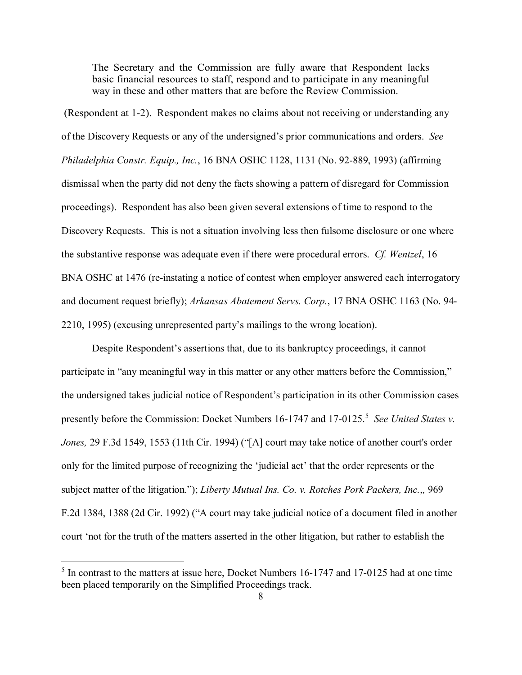The Secretary and the Commission are fully aware that Respondent lacks basic financial resources to staff, respond and to participate in any meaningful way in these and other matters that are before the Review Commission.

(Respondent at 1-2). Respondent makes no claims about not receiving or understanding any of the Discovery Requests or any of the undersigned's prior communications and orders. *See Philadelphia Constr. Equip., Inc.*, 16 BNA OSHC 1128, 1131 (No. 92-889, 1993) (affirming dismissal when the party did not deny the facts showing a pattern of disregard for Commission proceedings). Respondent has also been given several extensions of time to respond to the Discovery Requests. This is not a situation involving less then fulsome disclosure or one where the substantive response was adequate even if there were procedural errors. *Cf. Wentzel*, 16 BNA OSHC at 1476 (re-instating a notice of contest when employer answered each interrogatory and document request briefly); *Arkansas Abatement Servs. Corp.*, 17 BNA OSHC 1163 (No. 94- 2210, 1995) (excusing unrepresented party's mailings to the wrong location).

Despite Respondent's assertions that, due to its bankruptcy proceedings, it cannot participate in "any meaningful way in this matter or any other matters before the Commission," the undersigned takes judicial notice of Respondent's participation in its other Commission cases presently before the Commission: Docket Numbers 16-1747 and 17-012[5](#page-7-0).<sup>5</sup> See United States v. *Jones,* 29 F.3d 1549, 1553 (11th Cir. 1994) ("[A] court may take notice of another court's order only for the limited purpose of recognizing the 'judicial act' that the order represents or the subject matter of the litigation."); *Liberty Mutual Ins. Co. v. Rotches Pork Packers, Inc.*,*,* 969 F.2d 1384, 1388 (2d Cir. 1992) ("A court may take judicial notice of a document filed in another court 'not for the truth of the matters asserted in the other litigation, but rather to establish the

<span id="page-7-0"></span><sup>&</sup>lt;sup>5</sup> In contrast to the matters at issue here, Docket Numbers 16-1747 and 17-0125 had at one time been placed temporarily on the Simplified Proceedings track.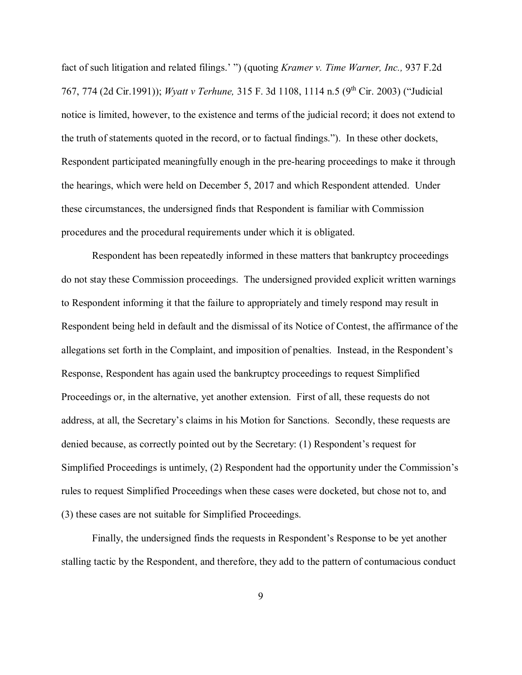fact of such litigation and related filings.' ") (quoting *Kramer v. Time Warner, Inc.,* 937 F.2d 767, 774 (2d Cir.1991)); *Wyatt v Terhune,* 315 F. 3d 1108, 1114 n.5 (9th Cir. 2003) ("Judicial notice is limited, however, to the existence and terms of the judicial record; it does not extend to the truth of statements quoted in the record, or to factual findings."). In these other dockets, Respondent participated meaningfully enough in the pre-hearing proceedings to make it through the hearings, which were held on December 5, 2017 and which Respondent attended. Under these circumstances, the undersigned finds that Respondent is familiar with Commission procedures and the procedural requirements under which it is obligated.

Respondent has been repeatedly informed in these matters that bankruptcy proceedings do not stay these Commission proceedings. The undersigned provided explicit written warnings to Respondent informing it that the failure to appropriately and timely respond may result in Respondent being held in default and the dismissal of its Notice of Contest, the affirmance of the allegations set forth in the Complaint, and imposition of penalties. Instead, in the Respondent's Response, Respondent has again used the bankruptcy proceedings to request Simplified Proceedings or, in the alternative, yet another extension. First of all, these requests do not address, at all, the Secretary's claims in his Motion for Sanctions. Secondly, these requests are denied because, as correctly pointed out by the Secretary: (1) Respondent's request for Simplified Proceedings is untimely, (2) Respondent had the opportunity under the Commission's rules to request Simplified Proceedings when these cases were docketed, but chose not to, and (3) these cases are not suitable for Simplified Proceedings.

Finally, the undersigned finds the requests in Respondent's Response to be yet another stalling tactic by the Respondent, and therefore, they add to the pattern of contumacious conduct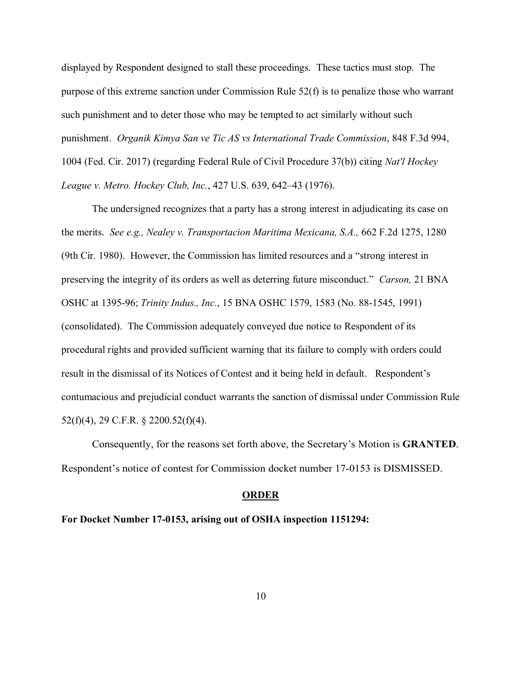displayed by Respondent designed to stall these proceedings. These tactics must stop. The purpose of this extreme sanction under Commission Rule  $52(f)$  is to penalize those who warrant such punishment and to deter those who may be tempted to act similarly without such punishment. *Organik Kimya San ve Tic AS vs International Trade Commission*, 848 F.3d 994, 1004 (Fed. Cir. 2017) (regarding Federal Rule of Civil Procedure 37(b)) citing *Nat'l Hockey League v. Metro. Hockey Club, Inc.*, 427 U.S. 639, 642–43 (1976).

The undersigned recognizes that a party has a strong interest in adjudicating its case on the merits. *See e.g., Nealey v. Transportacion Maritima Mexicana, S.A.,* 662 F.2d 1275, 1280 (9th Cir. 1980). However, the Commission has limited resources and a "strong interest in preserving the integrity of its orders as well as deterring future misconduct." *Carson,* 21 BNA OSHC at 1395-96; *Trinity Indus., Inc.*, 15 BNA OSHC 1579, 1583 (No. 88-1545, 1991) (consolidated). The Commission adequately conveyed due notice to Respondent of its procedural rights and provided sufficient warning that its failure to comply with orders could result in the dismissal of its Notices of Contest and it being held in default. Respondent's contumacious and prejudicial conduct warrants the sanction of dismissal under Commission Rule 52(f)(4), 29 C.F.R. § 2200.52(f)(4).

Consequently, for the reasons set forth above, the Secretary's Motion is **GRANTED**. Respondent's notice of contest for Commission docket number 17-0153 is DISMISSED.

#### **ORDER**

**For Docket Number 17-0153, arising out of OSHA inspection 1151294:**